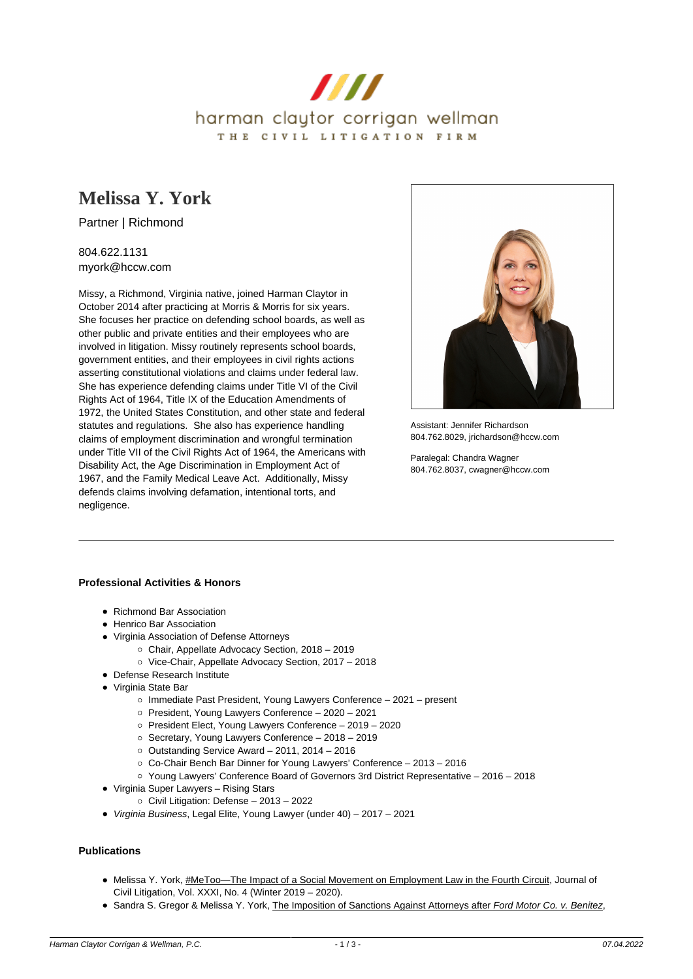

# **[Melissa Y. York](https://www.hccw.com/attorney/melissa-y-york/)**

Partner | Richmond

804.622.1131 myork@hccw.com

Missy, a Richmond, Virginia native, joined Harman Claytor in October 2014 after practicing at Morris & Morris for six years. She focuses her practice on defending school boards, as well as other public and private entities and their employees who are involved in litigation. Missy routinely represents school boards, government entities, and their employees in civil rights actions asserting constitutional violations and claims under federal law. She has experience defending claims under Title VI of the Civil Rights Act of 1964, Title IX of the Education Amendments of 1972, the United States Constitution, and other state and federal statutes and regulations. She also has experience handling claims of employment discrimination and wrongful termination under Title VII of the Civil Rights Act of 1964, the Americans with Disability Act, the Age Discrimination in Employment Act of 1967, and the Family Medical Leave Act. Additionally, Missy defends claims involving defamation, intentional torts, and negligence.



Assistant: Jennifer Richardson 804.762.8029, jrichardson@hccw.com

Paralegal: Chandra Wagner 804.762.8037, cwagner@hccw.com

# **Professional Activities & Honors**

- Richmond Bar Association
- Henrico Bar Association
- Virginia Association of Defense Attorneys
	- Chair, Appellate Advocacy Section, 2018 2019
	- Vice-Chair, Appellate Advocacy Section, 2017 2018
- Defense Research Institute
- Virginia State Bar
	- o Immediate Past President, Young Lawyers Conference 2021 present
	- President, Young Lawyers Conference 2020 2021
	- President Elect, Young Lawyers Conference 2019 2020
	- Secretary, Young Lawyers Conference 2018 2019
	- $\circ$  Outstanding Service Award 2011, 2014 2016
	- Co-Chair Bench Bar Dinner for Young Lawyers' Conference 2013 2016
	- Young Lawyers' Conference Board of Governors 3rd District Representative 2016 2018
- Virginia Super Lawyers Rising Stars
	- Civil Litigation: Defense 2013 2022
- Virginia Business, Legal Elite, Young Lawyer (under 40) 2017 2021

### **Publications**

- Melissa Y. York, #MeToo—The Impact of a Social Movement on Employment Law in the Fourth Circuit, Journal of Civil Litigation, Vol. XXXI, No. 4 (Winter 2019 – 2020).
- **Sandra S. Gregor & Melissa Y. York, The Imposition of Sanctions Against Attorneys after Ford Motor Co. v. Benitez,**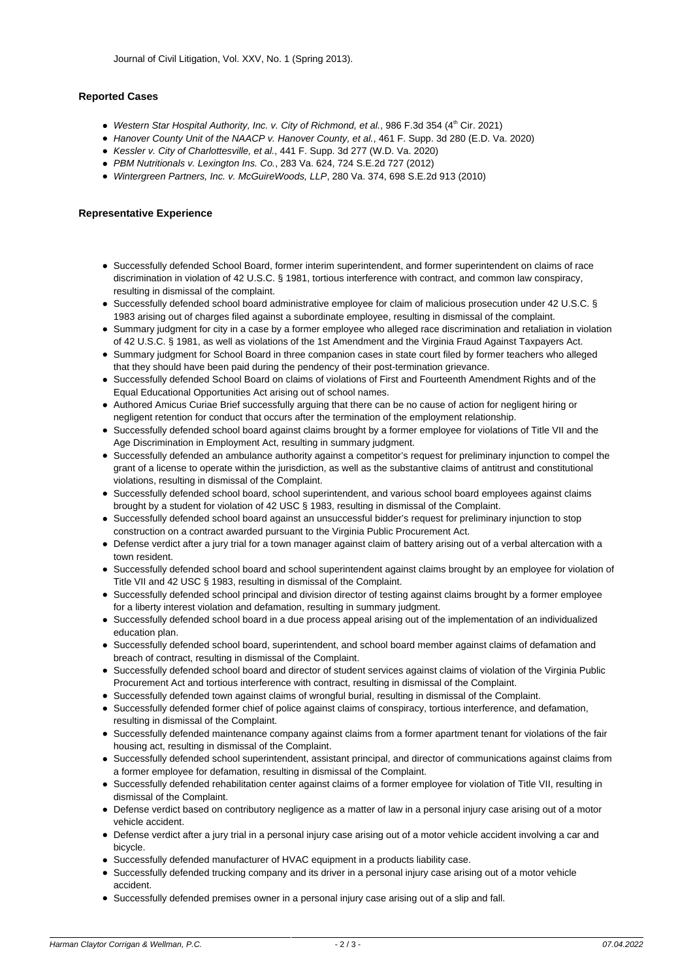## **Reported Cases**

- Western Star Hospital Authority, Inc. v. City of Richmond, et al., 986 F.3d 354 (4th Cir. 2021)
- Hanover County Unit of the NAACP v. Hanover County, et al., 461 F. Supp. 3d 280 (E.D. Va. 2020)
- Kessler v. City of Charlottesville, et al., 441 F. Supp. 3d 277 (W.D. Va. 2020)
- PBM Nutritionals v. Lexington Ins. Co., 283 Va. 624, 724 S.E.2d 727 (2012)
- Wintergreen Partners, Inc. v. McGuireWoods, LLP, 280 Va. 374, 698 S.E.2d 913 (2010)

#### **Representative Experience**

- Successfully defended School Board, former interim superintendent, and former superintendent on claims of race discrimination in violation of 42 U.S.C. § 1981, tortious interference with contract, and common law conspiracy, resulting in dismissal of the complaint.
- Successfully defended school board administrative employee for claim of malicious prosecution under 42 U.S.C. § 1983 arising out of charges filed against a subordinate employee, resulting in dismissal of the complaint.
- Summary judgment for city in a case by a former employee who alleged race discrimination and retaliation in violation of 42 U.S.C. § 1981, as well as violations of the 1st Amendment and the Virginia Fraud Against Taxpayers Act.
- Summary judgment for School Board in three companion cases in state court filed by former teachers who alleged that they should have been paid during the pendency of their post-termination grievance.
- Successfully defended School Board on claims of violations of First and Fourteenth Amendment Rights and of the Equal Educational Opportunities Act arising out of school names.
- Authored Amicus Curiae Brief successfully arguing that there can be no cause of action for negligent hiring or negligent retention for conduct that occurs after the termination of the employment relationship.
- Successfully defended school board against claims brought by a former employee for violations of Title VII and the Age Discrimination in Employment Act, resulting in summary judgment.
- Successfully defended an ambulance authority against a competitor's request for preliminary injunction to compel the grant of a license to operate within the jurisdiction, as well as the substantive claims of antitrust and constitutional violations, resulting in dismissal of the Complaint.
- Successfully defended school board, school superintendent, and various school board employees against claims brought by a student for violation of 42 USC § 1983, resulting in dismissal of the Complaint.
- Successfully defended school board against an unsuccessful bidder's request for preliminary injunction to stop construction on a contract awarded pursuant to the Virginia Public Procurement Act.
- Defense verdict after a jury trial for a town manager against claim of battery arising out of a verbal altercation with a town resident.
- Successfully defended school board and school superintendent against claims brought by an employee for violation of Title VII and 42 USC § 1983, resulting in dismissal of the Complaint.
- Successfully defended school principal and division director of testing against claims brought by a former employee for a liberty interest violation and defamation, resulting in summary judgment.
- Successfully defended school board in a due process appeal arising out of the implementation of an individualized education plan.
- Successfully defended school board, superintendent, and school board member against claims of defamation and breach of contract, resulting in dismissal of the Complaint.
- Successfully defended school board and director of student services against claims of violation of the Virginia Public Procurement Act and tortious interference with contract, resulting in dismissal of the Complaint.
- Successfully defended town against claims of wrongful burial, resulting in dismissal of the Complaint.
- Successfully defended former chief of police against claims of conspiracy, tortious interference, and defamation, resulting in dismissal of the Complaint.
- Successfully defended maintenance company against claims from a former apartment tenant for violations of the fair housing act, resulting in dismissal of the Complaint.
- Successfully defended school superintendent, assistant principal, and director of communications against claims from a former employee for defamation, resulting in dismissal of the Complaint.
- Successfully defended rehabilitation center against claims of a former employee for violation of Title VII, resulting in dismissal of the Complaint.
- Defense verdict based on contributory negligence as a matter of law in a personal injury case arising out of a motor vehicle accident.
- Defense verdict after a jury trial in a personal injury case arising out of a motor vehicle accident involving a car and bicycle.
- Successfully defended manufacturer of HVAC equipment in a products liability case.
- Successfully defended trucking company and its driver in a personal injury case arising out of a motor vehicle accident.
- Successfully defended premises owner in a personal injury case arising out of a slip and fall.